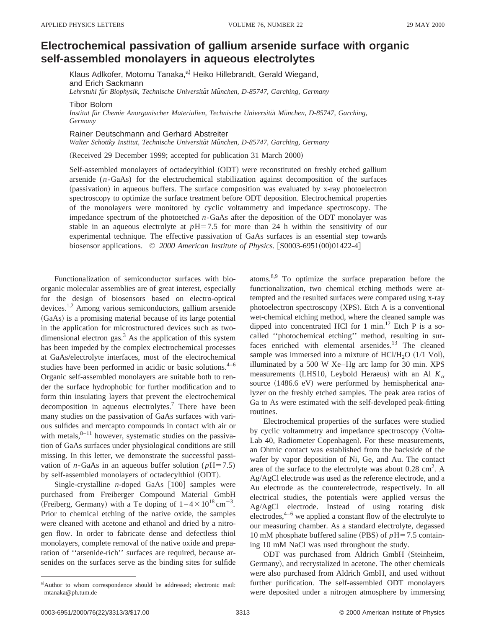## **Electrochemical passivation of gallium arsenide surface with organic self-assembled monolayers in aqueous electrolytes**

Klaus Adlkofer, Motomu Tanaka,<sup>a)</sup> Heiko Hillebrandt, Gerald Wiegand, and Erich Sackmann Lehrstuhl für Biophysik, Technische Universität München, D-85747, Garching, Germany

Tibor Bolom

*Institut fu¨r Chemie Anorganischer Materialien, Technische Universita¨t Mu¨nchen, D-85747, Garching, Germany*

Rainer Deutschmann and Gerhard Abstreiter

Walter Schottky Institut, Technische Universität München, D-85747, Garching, Germany

(Received 29 December 1999; accepted for publication 31 March 2000)

Self-assembled monolayers of octadecylthiol (ODT) were reconstituted on freshly etched gallium arsenide (*n*-GaAs) for the electrochemical stabilization against decomposition of the surfaces (passivation) in aqueous buffers. The surface composition was evaluated by x-ray photoelectron spectroscopy to optimize the surface treatment before ODT deposition. Electrochemical properties of the monolayers were monitored by cyclic voltammetry and impedance spectroscopy. The impedance spectrum of the photoetched *n*-GaAs after the deposition of the ODT monolayer was stable in an aqueous electrolyte at  $pH=7.5$  for more than 24 h within the sensitivity of our experimental technique. The effective passivation of GaAs surfaces is an essential step towards biosensor applications. © 2000 American Institute of Physics. [S0003-6951(00)01422-4]

Functionalization of semiconductor surfaces with bioorganic molecular assemblies are of great interest, especially for the design of biosensors based on electro-optical devices.1,2 Among various semiconductors, gallium arsenide (GaAs) is a promising material because of its large potential in the application for microstructured devices such as twodimensional electron gas. $3$  As the application of this system has been impeded by the complex electrochemical processes at GaAs/electrolyte interfaces, most of the electrochemical studies have been performed in acidic or basic solutions. $4-6$ Organic self-assembled monolayers are suitable both to render the surface hydrophobic for further modification and to form thin insulating layers that prevent the electrochemical decomposition in aqueous electrolytes.<sup>7</sup> There have been many studies on the passivation of GaAs surfaces with various sulfides and mercapto compounds in contact with air or with metals, $8-11$  however, systematic studies on the passivation of GaAs surfaces under physiological conditions are still missing. In this letter, we demonstrate the successful passivation of *n*-GaAs in an aqueous buffer solution ( $pH=7.5$ ) by self-assembled monolayers of octadecylthiol (ODT).

Single-crystalline  $n$ -doped GaAs  $\lceil 100 \rceil$  samples were purchased from Freiberger Compound Material GmbH (Freiberg, Germany) with a Te doping of  $1-4 \times 10^{18}$  cm<sup>-3</sup>. Prior to chemical etching of the native oxide, the samples were cleaned with acetone and ethanol and dried by a nitrogen flow. In order to fabricate dense and defectless thiol monolayers, complete removal of the native oxide and preparation of ''arsenide-rich'' surfaces are required, because arsenides on the surfaces serve as the binding sites for sulfide atoms. $8.9$  To optimize the surface preparation before the functionalization, two chemical etching methods were attempted and the resulted surfaces were compared using x-ray photoelectron spectroscopy  $(XPS)$ . Etch A is a conventional wet-chemical etching method, where the cleaned sample was dipped into concentrated HCl for 1 min.<sup>12</sup> Etch P is a socalled ''photochemical etching'' method, resulting in surfaces enriched with elemental arsenides.<sup>13</sup> The cleaned sample was immersed into a mixture of  $HC1/H<sub>2</sub>O$   $(1/1$  Vol), illuminated by a 500 W Xe–Hg arc lamp for 30 min. XPS measurements (LHS10, Leybold Heraeus) with an Al  $K_a$ source  $(1486.6 \text{ eV})$  were performed by hemispherical analyzer on the freshly etched samples. The peak area ratios of Ga to As were estimated with the self-developed peak-fitting routines.

Electrochemical properties of the surfaces were studied by cyclic voltammetry and impedance spectroscopy (Volta-Lab 40, Radiometer Copenhagen). For these measurements, an Ohmic contact was established from the backside of the wafer by vapor deposition of Ni, Ge, and Au. The contact area of the surface to the electrolyte was about  $0.28 \text{ cm}^2$ . A Ag/AgCl electrode was used as the reference electrode, and a Au electrode as the counterelectrode, respectively. In all electrical studies, the potentials were applied versus the Ag/AgCl electrode. Instead of using rotating disk electrodes, $4-6$  we applied a constant flow of the electrolyte to our measuring chamber. As a standard electrolyte, degassed 10 mM phosphate buffered saline (PBS) of  $pH=7.5$  containing 10 mM NaCl was used throughout the study.

ODT was purchased from Aldrich GmbH (Steinheim, Germany), and recrystalized in acetone. The other chemicals were also purchased from Aldrich GmbH, and used without further purification. The self-assembled ODT monolayers were deposited under a nitrogen atmosphere by immersing

a)Author to whom correspondence should be addressed; electronic mail: mtanaka@ph.tum.de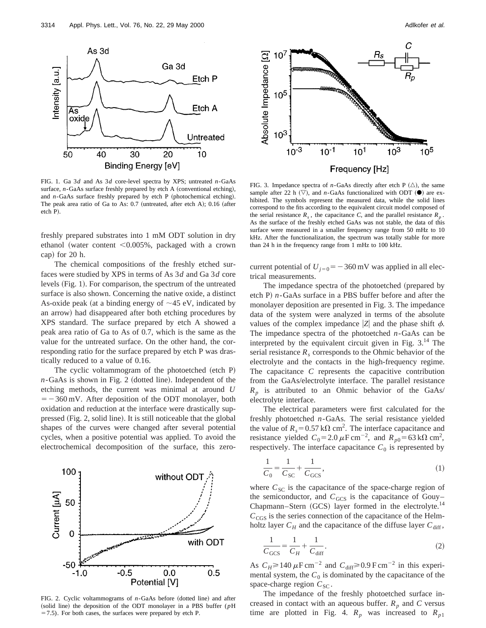

FIG. 1. Ga 3*d* and As 3*d* core-level spectra by XPS; untreated *n*-GaAs surface,  $n$ -GaAs surface freshly prepared by etch A (conventional etching), and  $n$ -GaAs surface freshly prepared by etch  $P$  (photochemical etching). The peak area ratio of Ga to As:  $0.7$  (untreated, after etch A);  $0.16$  (after etch P).

freshly prepared substrates into 1 mM ODT solution in dry ethanol (water content  $\leq 0.005\%$ , packaged with a crown cap) for  $20$  h.

The chemical compositions of the freshly etched surfaces were studied by XPS in terms of As 3*d* and Ga 3*d* core levels (Fig. 1). For comparison, the spectrum of the untreated surface is also shown. Concerning the native oxide, a distinct As-oxide peak (at a binding energy of  $\sim$ 45 eV, indicated by an arrow) had disappeared after both etching procedures by XPS standard. The surface prepared by etch A showed a peak area ratio of Ga to As of 0.7, which is the same as the value for the untreated surface. On the other hand, the corresponding ratio for the surface prepared by etch P was drastically reduced to a value of 0.16.

The cyclic voltammogram of the photoetched (etch  $P$ )  $n$ -GaAs is shown in Fig. 2 (dotted line). Independent of the etching methods, the current was minimal at around *U*  $=$  -360 mV. After deposition of the ODT monolayer, both oxidation and reduction at the interface were drastically suppressed (Fig. 2, solid line). It is still noticeable that the global shapes of the curves were changed after several potential cycles, when a positive potential was applied. To avoid the electrochemical decomposition of the surface, this zero-



FIG. 2. Cyclic voltammograms of *n*-GaAs before (dotted line) and after (solid line) the deposition of the ODT monolayer in a PBS buffer ( $p$ H  $=7.5$ ). For both cases, the surfaces were prepared by etch P.



FIG. 3. Impedance spectra of *n*-GaAs directly after etch P  $(\triangle)$ , the same sample after 22 h  $(\nabla)$ , and *n*-GaAs functionalized with ODT  $(\bullet)$  are exhibited. The symbols represent the measured data, while the solid lines correspond to the fits according to the equivalent circuit model composed of the serial resistance  $R_s$ , the capacitance *C*, and the parallel resistance  $R_p$ . As the surface of the freshly etched GaAs was not stable, the data of this surface were measured in a smaller frequency range from 50 mHz to 10 kHz. After the functionalization, the spectrum was totally stable for more than 24 h in the frequency range from 1 mHz to 100 kHz.

current potential of  $U_{j=0} = -360 \text{ mV}$  was applied in all electrical measurements.

The impedance spectra of the photoetched (prepared by etch P)  $n$ -GaAs surface in a PBS buffer before and after the monolayer deposition are presented in Fig. 3. The impedance data of the system were analyzed in terms of the absolute values of the complex impedance  $|Z|$  and the phase shift  $\phi$ . The impedance spectra of the photoetched *n*-GaAs can be interpreted by the equivalent circuit given in Fig.  $3^{14}$ . The serial resistance  $R_s$  corresponds to the Ohmic behavior of the electrolyte and the contacts in the high-frequency regime. The capacitance *C* represents the capacitive contribution from the GaAs/electrolyte interface. The parallel resistance  $R_p$  is attributed to an Ohmic behavior of the GaAs/ electrolyte interface.

The electrical parameters were first calculated for the freshly photoetched *n*-GaAs. The serial resistance yielded the value of  $R_s = 0.57 \text{ k}\Omega \text{ cm}^2$ . The interface capacitance and resistance yielded  $C_0 = 2.0 \,\mu\text{F cm}^{-2}$ , and  $R_{p0} = 63 \,\text{k}\Omega \text{ cm}^2$ , respectively. The interface capacitance  $C_0$  is represented by

$$
\frac{1}{C_0} = \frac{1}{C_{SC}} + \frac{1}{C_{GCS}},
$$
\n(1)

where  $C_{SC}$  is the capacitance of the space-charge region of the semiconductor, and  $C_{GCS}$  is the capacitance of Gouy– Chapmann–Stern (GCS) layer formed in the electrolyte.<sup>14</sup>  $C_{\text{CGS}}$  is the series connection of the capacitance of the Helmholtz layer  $C_H$  and the capacitance of the diffuse layer  $C_{\text{diff}}$ ,

$$
\frac{1}{C_{GCS}} = \frac{1}{C_H} + \frac{1}{C_{\text{diff}}}.\tag{2}
$$

As  $C_H \ge 140 \,\mu\text{F cm}^{-2}$  and  $C_{\text{diff}} \ge 0.9 \,\text{F cm}^{-2}$  in this experimental system, the  $C_0$  is dominated by the capacitance of the space-charge region  $C_{SC}$ .

The impedance of the freshly photoetched surface increased in contact with an aqueous buffer.  $R_p$  and  $C$  versus time are plotted in Fig. 4.  $R_p$  was increased to  $R_{p1}$